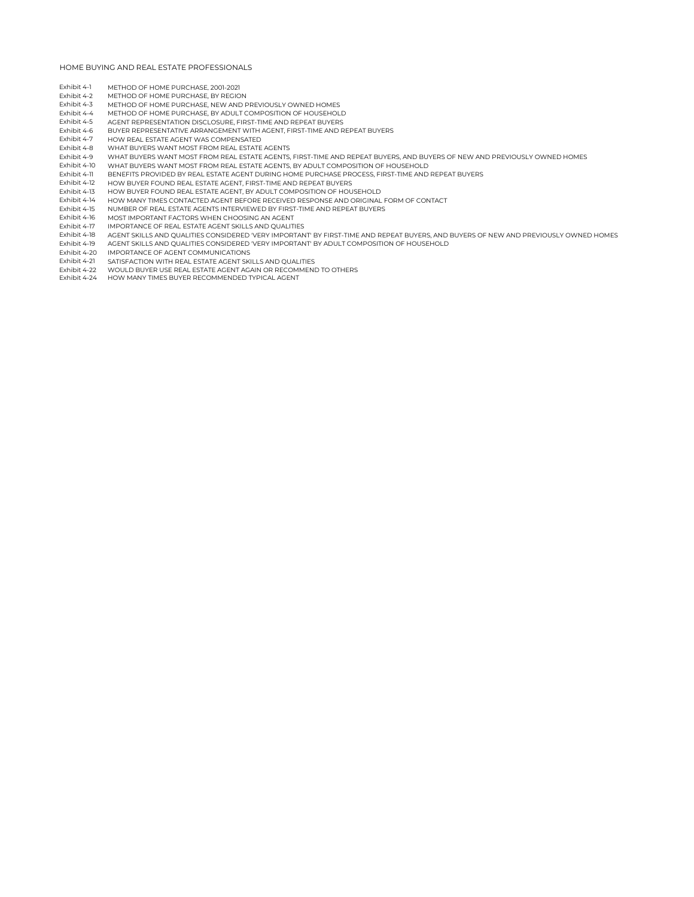- Exhibit 4-1 METHOD OF HOME PURCHASE, 2001-2021<br>Exhibit 4-2 METHOD OF HOME PURCHASE, BY REGIO
- Exhibit 4-2 METHOD OF HOME PURCHASE, BY REGION<br>Exhibit 4-3 METHOD OF HOME PURCHASE, NEW AND F
- Exhibit 4-3 METHOD OF HOME PURCHASE, NEW AND PREVIOUSLY OWNED HOMES<br>Exhibit 4-4 METHOD OF HOME PURCHASE, BY ADULT COMPOSITION OF HOUSEHOLI
- METHOD OF HOME PURCHASE, BY ADULT COMPOSITION OF HOUSEHOLD
- Exhibit 4-5 AGENT REPRESENTATION DISCLOSURE, FIRST-TIME AND REPEAT BUYERS BUYER REPRESENTATIVE ARRANGEMENT WITH AGENT, FIRST-TIME AND REPEAT BUYERS
- Exhibit 4-7 HOW REAL ESTATE AGENT WAS COMPENSATED<br>Exhibit 4-8 WHAT BUYEDS WANT MOST EDOM DEAL ESTATE
- WHAT BUYERS WANT MOST FROM REAL ESTATE AGENTS
- Exhibit 4-9 WHAT BUYERS WANT MOST FROM REAL ESTATE AGENTS, FIRST-TIME AND REPEAT BUYERS, AND BUYERS OF NEW AND PREVIOUSLY OWNED HOMES<br>Exhibit 4-10 WHAT BUYERS WANT MOST FROM REAL ESTATE AGENTS. BY ADULT COMPOSITION OF HOUS
- Exhibit 4-10 WHAT BUYERS WANT MOST FROM REAL ESTATE AGENTS, BY ADULT COMPOSITION OF HOUSEHOLD<br>Exhibit 4-11 BENEFITS PROVIDED BY REAL ESTATE AGENT DURING HOME PURCHASE PROCESS, FIRST-TIME AND
- Exhibit 4-11 BENEFITS PROVIDED BY REAL ESTATE AGENT DURING HOME PURCHASE PROCESS, FIRST-TIME AND REPEAT BUYERS<br>Exhibit 4-12 HOW BUYER FOUND REAL ESTATE AGENT, FIRST-TIME AND REPEAT BUYERS
- Exhibit 4-12 HOW BUYER FOUND REAL ESTATE AGENT, FIRST-TIME AND REPEAT BUYERS<br>Exhibit 4-13 HOW BUYER FOUND REAL ESTATE AGENT, BY ADULT COMPOSITION OF HOU
- Exhibit 4-13 HOW BUYER FOUND REAL ESTATE AGENT, BY ADULT COMPOSITION OF HOUSEHOLD<br>Exhibit 4-14 HOW MANY TIMES CONTACTED AGENT BEFORE RECEIVED RESPONSE AND ORIGINAL
- Exhibit 4-14 HOW MANY TIMES CONTACTED AGENT BEFORE RECEIVED RESPONSE AND ORIGINAL FORM OF CONTACT<br>Exhibit 4-15 NUMBER OF REAL ESTATE AGENTS INTERVIEWED BY FIRST-TIME AND REPEAT BUYERS
- Exhibit 4-15 NUMBER OF REAL ESTATE AGENTS INTERVIEWED BY FIRST-TIME AND REPEAT BUYERS<br>Exhibit 4-16 MOST IMPORTANT FACTORS WHEN CHOOSING AN AGENT
- MOST IMPORTANT FACTORS WHEN CHOOSING AN AGENT
- Exhibit 4-17 IMPORTANCE OF REAL ESTATE AGENT SKILLS AND QUALITIES<br>Exhibit 4-18 ACENT SKILLS AND QUALITIES CONSIDEDED VEDV IMPORTAN
- Exhibit 4-18 AGENT SKILLS AND QUALITIES CONSIDERED 'VERY IMPORTANT' BY FIRST-TIME AND REPEAT BUYERS, AND BUYERS OF NEW AND PREVIOUSLY OWNED HOMES<br>Exhibit 4-19 AGENT SKILLS AND OLIALITIES CONSIDERED 'VERY IMPORTANT' BY ADLI
- AGENT SKILLS AND QUALITIES CONSIDERED 'VERY IMPORTANT' BY ADULT COMPOSITION OF HOUSEHOLD
- Exhibit 4-20 IMPORTANCE OF AGENT COMMUNICATIONS<br>Exhibit 4-21 SATISFACTION WITH REAL ESTATE AGENT SKI
- Exhibit 4-21 SATISFACTION WITH REAL ESTATE AGENT SKILLS AND QUALITIES
- Exhibit 4-22 WOULD BUYER USE REAL ESTATE AGENT AGAIN OR RECOMMEND TO OTHERS<br>Exhibit 4-24 HOW MANY TIMES BUYER RECOMMENDED TYPICAL AGENT
- HOW MANY TIMES BUYER RECOMMENDED TYPICAL AGENT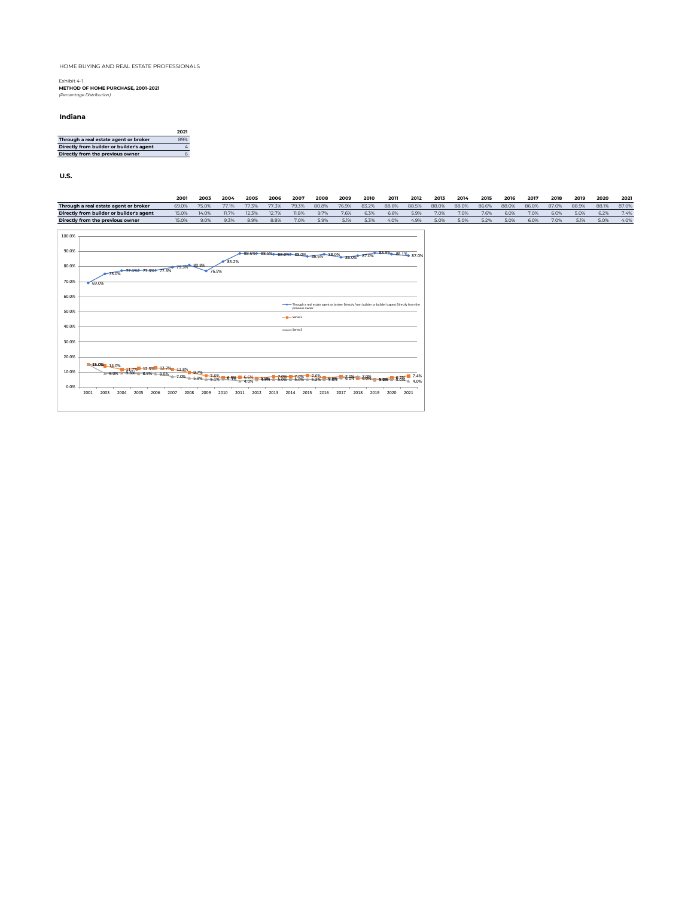Exhibit 4-1 **METHOD OF HOME PURCHASE, 2001-2021** *(Percentage Distribution)*

#### **Indiana**

|                                          | 2021 |
|------------------------------------------|------|
| Through a real estate agent or broker    | 89%  |
| Directly from builder or builder's agent | 4    |
| Directly from the previous owner         | 6    |

**U.S.**

|        |                                          | 2001  | 2003  | 2004  | 2005  | 2006  | 2007            | 2008                                                                                                | 2009  | 2010  | 2011  | 2012  | 2013  | 2014  | 2015  | 2016  | 2017  | 2018  | 2019  | 2020  | 2021  |
|--------|------------------------------------------|-------|-------|-------|-------|-------|-----------------|-----------------------------------------------------------------------------------------------------|-------|-------|-------|-------|-------|-------|-------|-------|-------|-------|-------|-------|-------|
|        | Through a real estate agent or broker    | 69.0% | 75.0% | 77.1% | 77.3% | 77.3% | 79.3%           | 80.8%                                                                                               | 76.9% | 83.2% | 88.6% | 88.5% | 88.0% | 88.0% | 86.6% | 88.0% | 86.0% | 87.0% | 88.9% | 88.1% | 87.0% |
|        | Directly from builder or builder's agent | 15.0% | 14.0% | 11.7% | 12.3% | 12.7% | 11.8%           | 9.7%                                                                                                | 7.6%  | 6.3%  | 6.6%  | 5.9%  | 7.0%  | 7.0%  | 7.6%  | 6.0%  | 7.0%  | 6.0%  | 5.0%  | 6.2%  | 7.4%  |
|        | Directly from the previous owner         | 15.0% | 9.0%  | 9.3%  | 8.9%  | 8.8%  | 7.0%            | 5.9%                                                                                                | 5.1%  | 5.3%  | 4.0%  | 4.9%  | 5.0%  | 5.0%  | 5.2%  | 5.0%  | 6.0%  | 7.0%  | 5.1%  | 5.0%  | 4.0%  |
|        |                                          |       |       |       |       |       |                 |                                                                                                     |       |       |       |       |       |       |       |       |       |       |       |       |       |
| 100.0% |                                          |       |       |       |       |       |                 |                                                                                                     |       |       |       |       |       |       |       |       |       |       |       |       |       |
| 90.0%  |                                          |       |       |       |       |       |                 |                                                                                                     |       |       |       |       |       |       |       |       |       |       |       |       |       |
|        |                                          |       |       | 83.2% |       |       |                 | 88.6% 88.5% 88.0% 88.0% 86.6% 88.0% 86.0% 87.0% 88.9% 88.1% 87.0%                                   |       |       |       |       |       |       |       |       |       |       |       |       |       |
| 80.0%  | 75.0% 77.1% 77.3% 77.3% 79.3% 80.8%      |       |       |       |       |       |                 |                                                                                                     |       |       |       |       |       |       |       |       |       |       |       |       |       |
|        |                                          |       |       |       |       |       |                 |                                                                                                     |       |       |       |       |       |       |       |       |       |       |       |       |       |
| 70.0%  | $69.0\%$                                 |       |       |       |       |       |                 |                                                                                                     |       |       |       |       |       |       |       |       |       |       |       |       |       |
|        |                                          |       |       |       |       |       |                 |                                                                                                     |       |       |       |       |       |       |       |       |       |       |       |       |       |
| 60.0%  |                                          |       |       |       |       |       |                 |                                                                                                     |       |       |       |       |       |       |       |       |       |       |       |       |       |
| 50.0%  |                                          |       |       |       |       |       | previous owner  | -+ Through a real estate agent or broker Directly from builder or builder's agent Directly from the |       |       |       |       |       |       |       |       |       |       |       |       |       |
|        |                                          |       |       |       |       |       | $-4 -$ Series 2 |                                                                                                     |       |       |       |       |       |       |       |       |       |       |       |       |       |
| 40.0%  |                                          |       |       |       |       |       |                 |                                                                                                     |       |       |       |       |       |       |       |       |       |       |       |       |       |
|        |                                          |       |       |       |       |       | $-$ i Series3   |                                                                                                     |       |       |       |       |       |       |       |       |       |       |       |       |       |
| 30.0%  |                                          |       |       |       |       |       |                 |                                                                                                     |       |       |       |       |       |       |       |       |       |       |       |       |       |
|        |                                          |       |       |       |       |       |                 |                                                                                                     |       |       |       |       |       |       |       |       |       |       |       |       |       |

15.0% 14.0% 12.3% 12.3% 12.7% 12.3% 2.0% 7.0% 7.0% 7.0% 5.0% 6.0% 5.0% 5.0% 7.0% 7.0% 7.0% 7.0% 7.0% 7.0% 7.0%<br>3.90% 8.9% 8.9% 8.8% 5.0% 5.0% 5.1% 5.3% 5.1% 5.3% 5.0% 5.0% 5.0% 5.0% 5.0% 5.0% 5.0% 6.0% 6.0% 7.0% 4.0% 7.0%  $0.0\%$ 10.0% 20.0% 2001 2003 2004 2005 2006 2007 2008 2009 2010 2011 2012 2013 2014 2015 2016 2017 2018 2019 2020 2021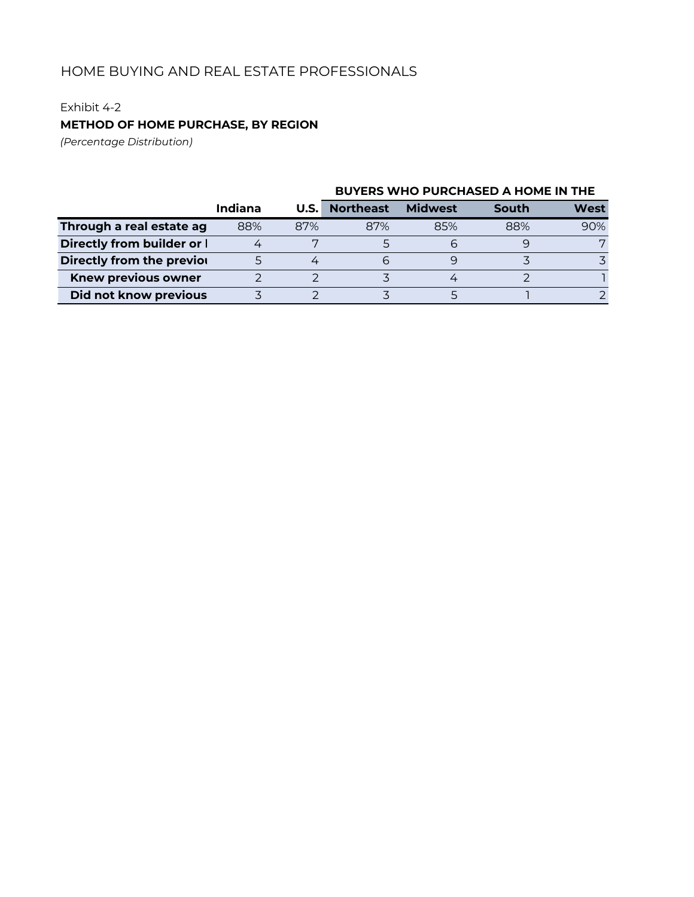### Exhibit 4-2

## **METHOD OF HOME PURCHASE, BY REGION**

*(Percentage Distribution)*

|                            |         |      | <b>BUYERS WHO PURCHASED A HOME IN THE</b> |                |       |      |  |
|----------------------------|---------|------|-------------------------------------------|----------------|-------|------|--|
|                            | Indiana | U.S. | <b>Northeast</b>                          | <b>Midwest</b> | South | West |  |
| Through a real estate ag   | 88%     | 87%  | 87%                                       | 85%            | 88%   | 90%  |  |
| Directly from builder or   |         |      |                                           |                |       |      |  |
| Directly from the previor  |         |      | h                                         |                |       |      |  |
| <b>Knew previous owner</b> |         |      |                                           |                |       |      |  |
| Did not know previous      |         |      |                                           |                |       |      |  |

# **BUYERS WHO PURCHASED A HOME IN THE**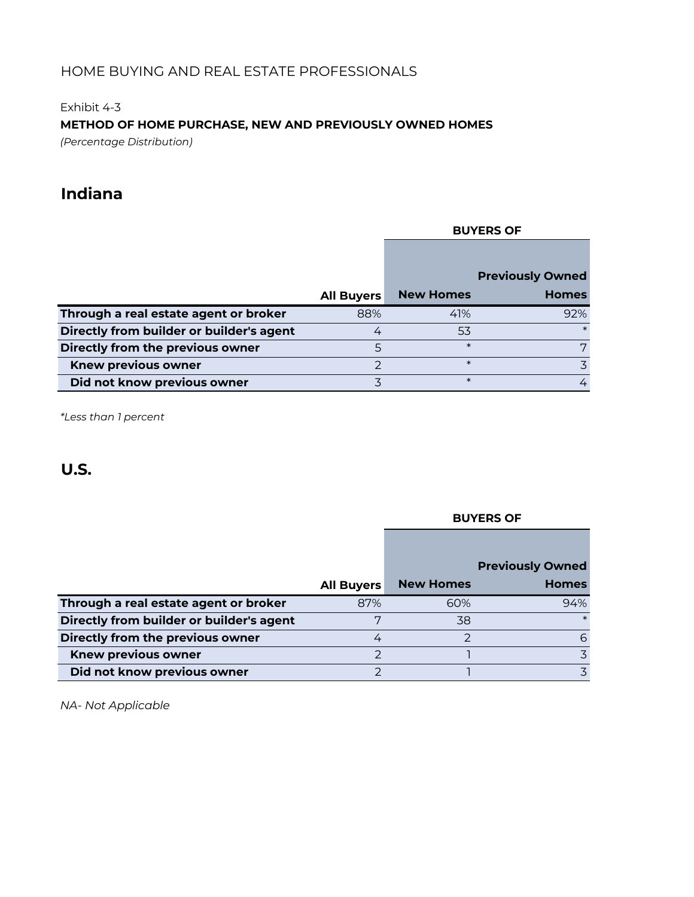Exhibit 4-3

### **METHOD OF HOME PURCHASE, NEW AND PREVIOUSLY OWNED HOMES**

*(Percentage Distribution)*

# **Indiana**

### **BUYERS OF**

|                                          |                   |                  | <b>Previously Owned</b> |
|------------------------------------------|-------------------|------------------|-------------------------|
|                                          | <b>All Buyers</b> | <b>New Homes</b> | <b>Homes</b>            |
| Through a real estate agent or broker    | 88%               | 41%              | 92%                     |
| Directly from builder or builder's agent |                   | 53               |                         |
| Directly from the previous owner         |                   | $\ast$           |                         |
| <b>Knew previous owner</b>               |                   | $\ast$           |                         |
| Did not know previous owner              |                   | $\ast$           |                         |

*\*Less than 1 percent*

# **U.S.**

# **All Buyers New Homes Previously Owned Homes Through a real estate agent or broker** 87% 60% 60% 94% **Directly from builder or builder's agent** 7 38 \* **Directly from the previous owner** 4 2 6 **The Knew previous owner** 2 2 3 3 **Did not know previous owner** 2 2 1 3 3

*NA- Not Applicable*

#### **BUYERS OF**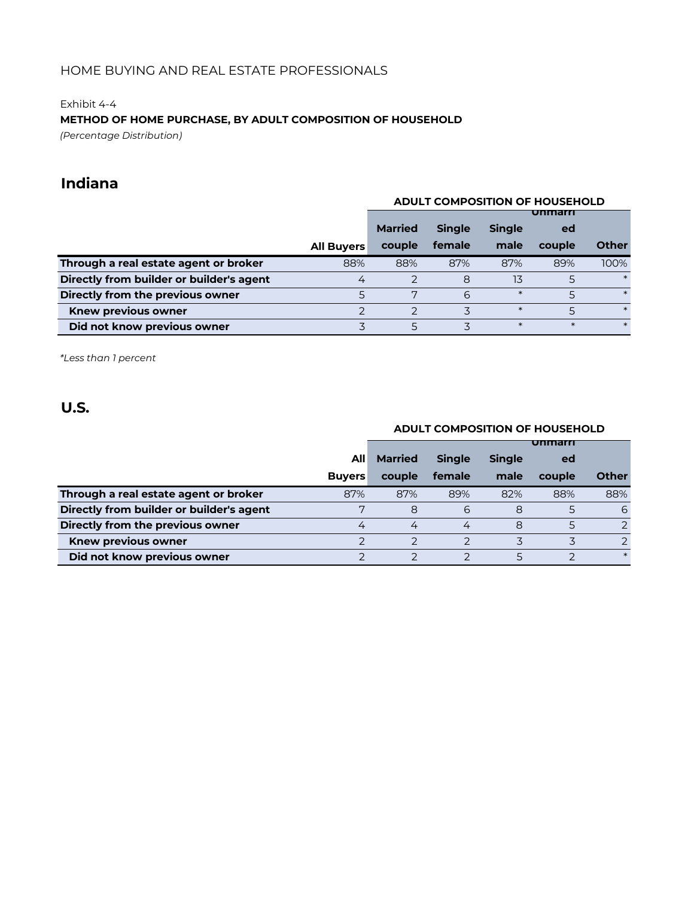#### Exhibit 4-4

### **METHOD OF HOME PURCHASE, BY ADULT COMPOSITION OF HOUSEHOLD**

*(Percentage Distribution)*

# **Indiana**

#### **ADULT COMPOSITION OF HOUSEHOLD**

|                                          |                   |                |               |               | Unimarri |              |
|------------------------------------------|-------------------|----------------|---------------|---------------|----------|--------------|
|                                          |                   | <b>Married</b> | <b>Single</b> | <b>Single</b> | ed       |              |
|                                          | <b>All Buyers</b> | couple         | female        | male          | couple   | <b>Other</b> |
| Through a real estate agent or broker    | 88%               | 88%            | 87%           | 87%           | 89%      | 100%         |
| Directly from builder or builder's agent | 4                 |                | 8             | 13            |          | $\ast$       |
| Directly from the previous owner         |                   | 5              | 6             | $\ast$        |          | $\ast$       |
| <b>Knew previous owner</b>               |                   |                |               | $\ast$        |          | $\ast$       |
| Did not know previous owner              |                   | 5              |               | $\ast$        | $\ast$   |              |

*\*Less than 1 percent*

# **U.S.**

### **ADULT COMPOSITION OF HOUSEHOLD**

|                                          |                |                |               |               | unmarr |              |
|------------------------------------------|----------------|----------------|---------------|---------------|--------|--------------|
|                                          | All            | <b>Married</b> | <b>Single</b> | <b>Single</b> | ed     |              |
|                                          | <b>Buyers</b>  | couple         | female        | male          | couple | <b>Other</b> |
| Through a real estate agent or broker    | 87%            | 87%            | 89%           | 82%           | 88%    | 88%          |
| Directly from builder or builder's agent |                | 8              | 6             | 8             |        | 6            |
| Directly from the previous owner         | $\overline{4}$ | 4              | 4             | 8             |        |              |
| Knew previous owner                      |                |                |               |               |        |              |
| Did not know previous owner              |                |                |               |               |        | $\ast$       |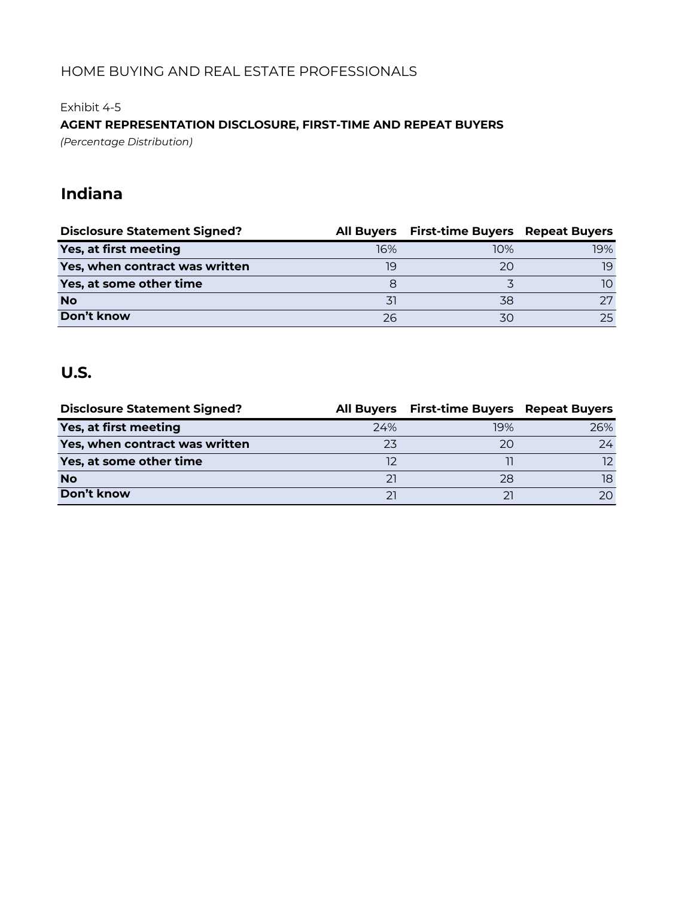Exhibit 4-5

# **AGENT REPRESENTATION DISCLOSURE, FIRST-TIME AND REPEAT BUYERS**

*(Percentage Distribution)*

# **Indiana**

| <b>Disclosure Statement Signed?</b> |     | All Buyers First-time Buyers Repeat Buyers |     |
|-------------------------------------|-----|--------------------------------------------|-----|
| Yes, at first meeting               | 16% | 10%                                        | 19% |
| Yes, when contract was written      | 19  | 20                                         | 19  |
| Yes, at some other time             |     |                                            | 10. |
| <b>No</b>                           |     | 38                                         | つワ  |
| Don't know                          | 26  |                                            | 25  |

| <b>Disclosure Statement Signed?</b> |     | All Buyers First-time Buyers Repeat Buyers |     |
|-------------------------------------|-----|--------------------------------------------|-----|
| Yes, at first meeting               | 24% | 19%                                        | 26% |
| Yes, when contract was written      | 23  | 20                                         | 24  |
| Yes, at some other time             |     |                                            | 12. |
| <b>No</b>                           | 21  | 28                                         | 18  |
| Don't know                          |     |                                            | 20  |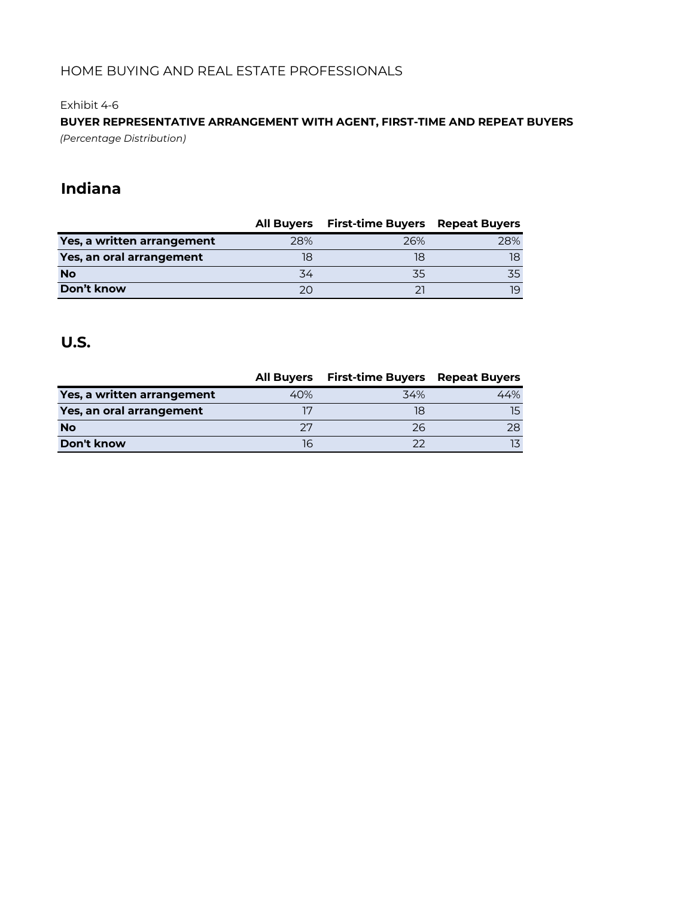### Exhibit 4-6

**BUYER REPRESENTATIVE ARRANGEMENT WITH AGENT, FIRST-TIME AND REPEAT BUYERS** *(Percentage Distribution)*

# **Indiana**

|                            |     | All Buyers First-time Buyers | <b>Repeat Buyers</b> |
|----------------------------|-----|------------------------------|----------------------|
| Yes, a written arrangement | 28% | 26%                          | 28%                  |
| Yes, an oral arrangement   |     | 18                           | 18                   |
| <b>No</b>                  | 34  | 35                           |                      |
| Don't know                 | 20  |                              | 19.                  |

|                            | <b>All Buvers</b> | <b>First-time Buyers Repeat Buyers</b> |     |
|----------------------------|-------------------|----------------------------------------|-----|
| Yes, a written arrangement | 40%               | 34%                                    | 44% |
| Yes, an oral arrangement   |                   |                                        |     |
| <b>No</b>                  |                   | 26                                     | 28. |
| Don't know                 | llo               |                                        |     |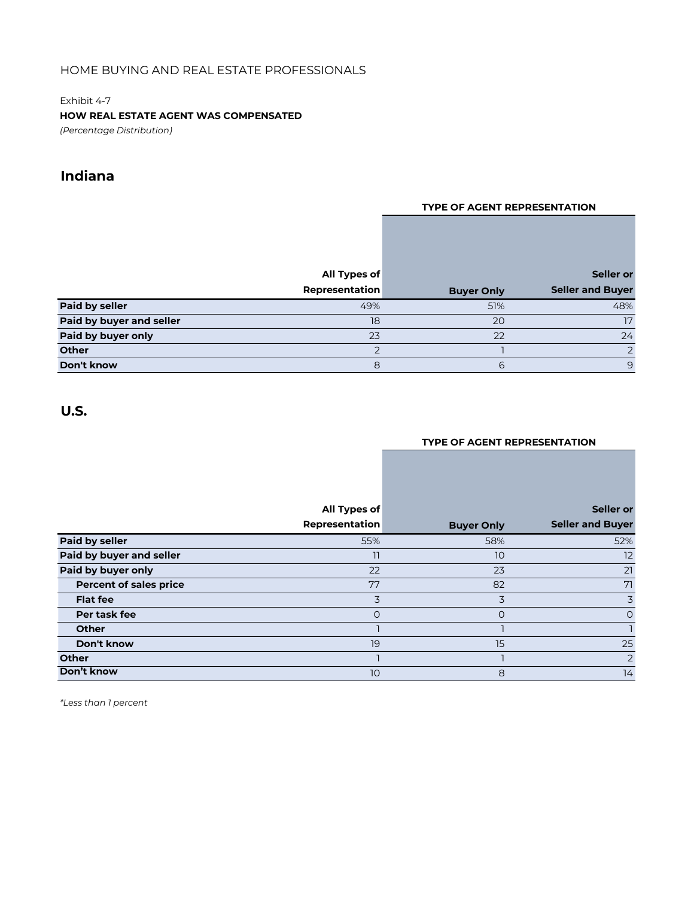Exhibit 4-7 **HOW REAL ESTATE AGENT WAS COMPENSATED** *(Percentage Distribution)*

**Indiana**

#### **TYPE OF AGENT REPRESENTATION**

|                          | All Types of   |                   | Seller or               |
|--------------------------|----------------|-------------------|-------------------------|
|                          | Representation | <b>Buyer Only</b> | <b>Seller and Buyer</b> |
| <b>Paid by seller</b>    | 49%            | 51%               | 48%                     |
| Paid by buyer and seller | 18             | 20                | 17                      |
| Paid by buyer only       | 23             | 22                | 24                      |
| <b>Other</b>             |                |                   | $\mathcal{P}$           |
| Don't know               | 8              | 6                 | 9                       |

### **U.S.**

#### **TYPE OF AGENT REPRESENTATION**

|                               | All Types of   |                   | Seller or               |
|-------------------------------|----------------|-------------------|-------------------------|
|                               | Representation | <b>Buyer Only</b> | <b>Seller and Buyer</b> |
| <b>Paid by seller</b>         | 55%            | 58%               | 52%                     |
| Paid by buyer and seller      | 11             | 10                | 12                      |
| Paid by buyer only            | 22             | 23                | 21                      |
| <b>Percent of sales price</b> | 77             | 82                | 71                      |
| <b>Flat fee</b>               | 3              | 3                 | 3                       |
| Per task fee                  | O              | O                 | $\Omega$                |
| <b>Other</b>                  |                |                   |                         |
| Don't know                    | 19             | 15                | 25                      |
| <b>Other</b>                  |                |                   | $\overline{2}$          |
| Don't know                    | 10             | 8                 | 14                      |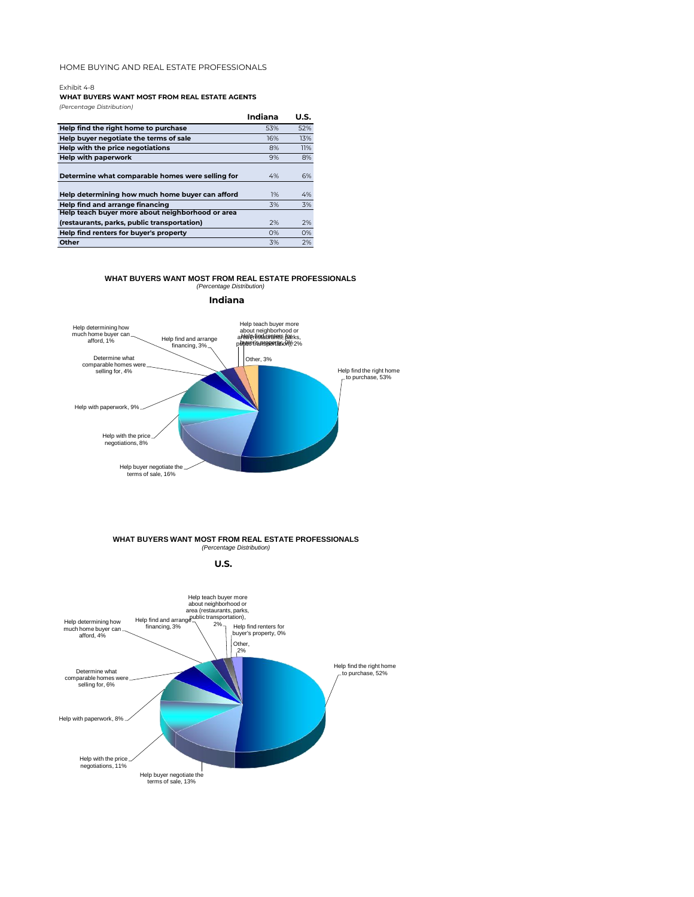Exhibit 4-8

#### **WHAT BUYERS WANT MOST FROM REAL ESTATE AGENTS**

*(Percentage Distribution)*

|                                                  | Indiana | U.S. |
|--------------------------------------------------|---------|------|
| Help find the right home to purchase             | 53%     | 52%  |
| Help buver negotiate the terms of sale           | 16%     | 13%  |
| Help with the price negotiations                 | 8%      | 11%  |
| Help with paperwork                              | 9%      | 8%   |
| Determine what comparable homes were selling for | 4%      | 6%   |
| Help determining how much home buyer can afford  | 1%      | 4%   |
| Help find and arrange financing                  | 3%      | 3%   |
| Help teach buyer more about neighborhood or area |         |      |
| (restaurants, parks, public transportation)      | 2%      | 2%   |
| Help find renters for buyer's property           | O%      | O%   |
| Other                                            | 3%      | 2%   |
|                                                  |         |      |

#### **WHAT BUYERS WANT MOST FROM REAL ESTATE PROFESSIONALS** *(Percentage Distribution)*







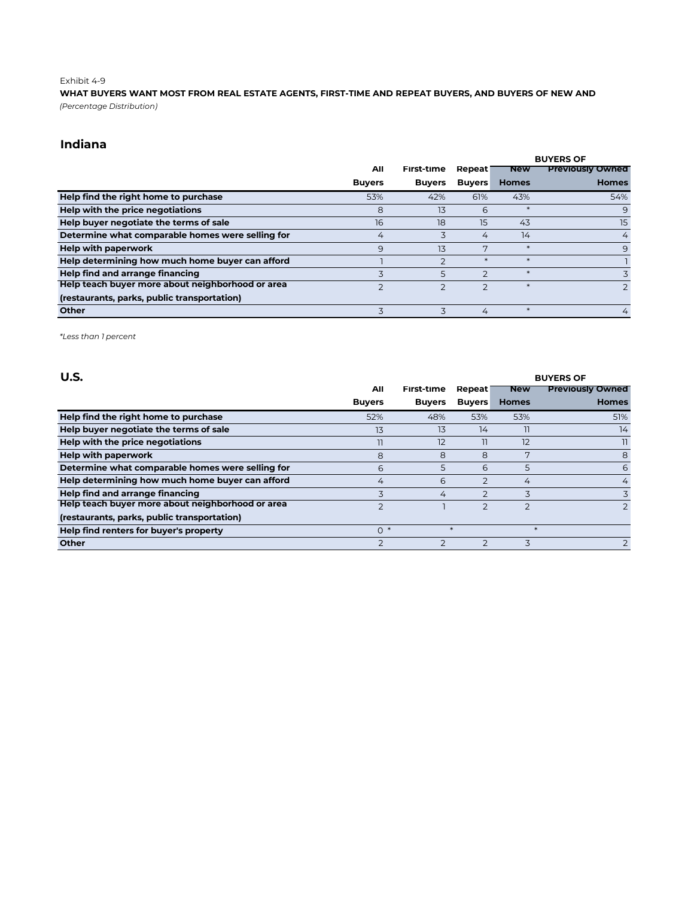#### Exhibit 4-9

*(Percentage Distribution)* **WHAT BUYERS WANT MOST FROM REAL ESTATE AGENTS, FIRST-TIME AND REPEAT BUYERS, AND BUYERS OF NEW AND** 

### **Indiana**

|                                                  |                |                          |                | <b>BUYERS OF</b> |                         |  |
|--------------------------------------------------|----------------|--------------------------|----------------|------------------|-------------------------|--|
|                                                  | All            | First-time               | Repeat         | <b>New</b>       | <b>Previously Owned</b> |  |
|                                                  | <b>Buyers</b>  | <b>Buyers</b>            | <b>Buyers</b>  | <b>Homes</b>     | <b>Homes</b>            |  |
| Help find the right home to purchase             | 53%            | 42%                      | 61%            | 43%              | 54%                     |  |
| Help with the price negotiations                 | 8              | 13                       | 6              |                  | 9                       |  |
| Help buyer negotiate the terms of sale           | 16             | 18                       | 15             | 43               | 15                      |  |
| Determine what comparable homes were selling for | 4              | 3                        | 4              | 14               | 4                       |  |
| <b>Help with paperwork</b>                       | 9              | 13                       | 7              |                  | 9                       |  |
| Help determining how much home buyer can afford  |                | $\overline{\phantom{0}}$ |                |                  |                         |  |
| Help find and arrange financing                  | 3              | 5                        | $\mathcal{D}$  |                  | 3                       |  |
| Help teach buyer more about neighborhood or area | $\overline{2}$ | $\overline{2}$           | $\overline{2}$ |                  | $\overline{2}$          |  |
| (restaurants, parks, public transportation)      |                |                          |                |                  |                         |  |
| <b>Other</b>                                     |                |                          | 4              |                  | 4                       |  |

| U.S.                                             |                |               |                | <b>BUYERS OF</b> |                         |  |  |
|--------------------------------------------------|----------------|---------------|----------------|------------------|-------------------------|--|--|
|                                                  | All            | First-time    | Repeat         | <b>New</b>       | <b>Previously Owned</b> |  |  |
|                                                  | <b>Buyers</b>  | <b>Buyers</b> | <b>Buyers</b>  | <b>Homes</b>     | <b>Homes</b>            |  |  |
| Help find the right home to purchase             | 52%            | 48%           | 53%            | 53%              | 51%                     |  |  |
| Help buyer negotiate the terms of sale           | 13             | 13            | 14             | 11               | 14                      |  |  |
| Help with the price negotiations                 | 11             | 12            | 11             | 12               | 11.                     |  |  |
| <b>Help with paperwork</b>                       | 8              | 8             | 8              | 7                | 8                       |  |  |
| Determine what comparable homes were selling for | 6              | 5             | 6              | 5                | 6                       |  |  |
| Help determining how much home buyer can afford  | 4              | 6             | $\mathcal{P}$  | 4                | $\overline{4}$          |  |  |
| Help find and arrange financing                  | 3              | 4             | $\overline{2}$ | 3                | 3                       |  |  |
| Help teach buyer more about neighborhood or area | $\overline{2}$ |               |                | $\overline{2}$   | $\overline{2}$          |  |  |
| (restaurants, parks, public transportation)      |                |               |                |                  |                         |  |  |
| Help find renters for buyer's property           | $0 *$          |               | $\ast$         | $*$              |                         |  |  |
| <b>Other</b>                                     | $\overline{z}$ |               |                | 3                | $\mathcal{P}$           |  |  |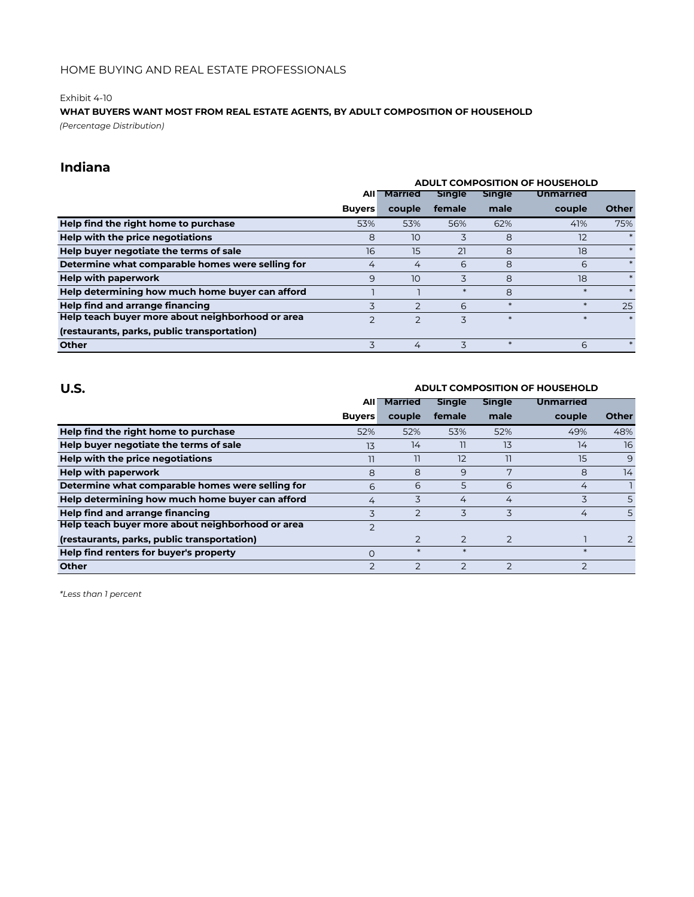#### Exhibit 4-10

### **WHAT BUYERS WANT MOST FROM REAL ESTATE AGENTS, BY ADULT COMPOSITION OF HOUSEHOLD**

*(Percentage Distribution)*

### **Indiana**

|                                                  | <b>ADULT COMPOSITION OF HOUSEHOLD</b> |                 |               |               |                  |              |
|--------------------------------------------------|---------------------------------------|-----------------|---------------|---------------|------------------|--------------|
|                                                  | All                                   | <b>Married</b>  | <b>Single</b> | <b>Single</b> | <b>Unmarried</b> |              |
|                                                  | <b>Buyers</b>                         | couple          | female        | male          | couple           | <b>Other</b> |
| Help find the right home to purchase             | 53%                                   | 53%             | 56%           | 62%           | 41%              | 75%          |
| Help with the price negotiations                 | 8                                     | 10              | 3             | 8             | 12               |              |
| Help buyer negotiate the terms of sale           | 16                                    | 15              | 21            | 8             | 18               |              |
| Determine what comparable homes were selling for | 4                                     | 4               | 6             | 8             | 6                | $\ast$       |
| <b>Help with paperwork</b>                       | 9                                     | 10 <sup>°</sup> | 3             | 8             | 18               |              |
| Help determining how much home buyer can afford  |                                       |                 | ∗             | 8             | $\ast$           |              |
| Help find and arrange financing                  | 3                                     | $\mathcal{P}$   | 6             | $\ast$        | $\ast$           | 25           |
| Help teach buyer more about neighborhood or area |                                       | $\overline{2}$  | 3             | $\ast$        |                  |              |
| (restaurants, parks, public transportation)      |                                       |                 |               |               |                  |              |
| <b>Other</b>                                     | 3                                     | 4               | 3             | $\ast$        | 6                | $\ast$       |

| U.S.                                             | ADULT COMPOSITION OF HOUSEHOLD |                |                |                |                  |              |  |
|--------------------------------------------------|--------------------------------|----------------|----------------|----------------|------------------|--------------|--|
|                                                  | AII                            | <b>Married</b> | <b>Single</b>  | <b>Single</b>  | <b>Unmarried</b> |              |  |
|                                                  | <b>Buyers</b>                  | couple         | female         | male           | couple           | <b>Other</b> |  |
| Help find the right home to purchase             | 52%                            | 52%            | 53%            | 52%            | 49%              | 48%          |  |
| Help buyer negotiate the terms of sale           | 13                             | 14             | 11             | 13             | 14               | 16           |  |
| Help with the price negotiations                 | 11                             | 11             | 12             | 11             | 15               | 9            |  |
| <b>Help with paperwork</b>                       | 8                              | 8              | 9              | 7              | 8                | 14           |  |
| Determine what comparable homes were selling for | 6                              | 6              | 5              | 6              | 4                |              |  |
| Help determining how much home buyer can afford  | 4                              | 3              | 4              | 4              | 3                | 5            |  |
| Help find and arrange financing                  | 3                              | $\overline{2}$ | 3              | 3              | 4                | 5            |  |
| Help teach buyer more about neighborhood or area | $\overline{2}$                 |                |                |                |                  |              |  |
| (restaurants, parks, public transportation)      |                                | $\overline{2}$ | $\overline{2}$ | $\overline{2}$ |                  |              |  |
| Help find renters for buyer's property           | O                              | $\ast$         | $\ast$         |                | $\ast$           |              |  |
| <b>Other</b>                                     | $\overline{2}$                 | $\mathcal{P}$  | $\overline{2}$ | $\mathcal{D}$  | $\overline{2}$   |              |  |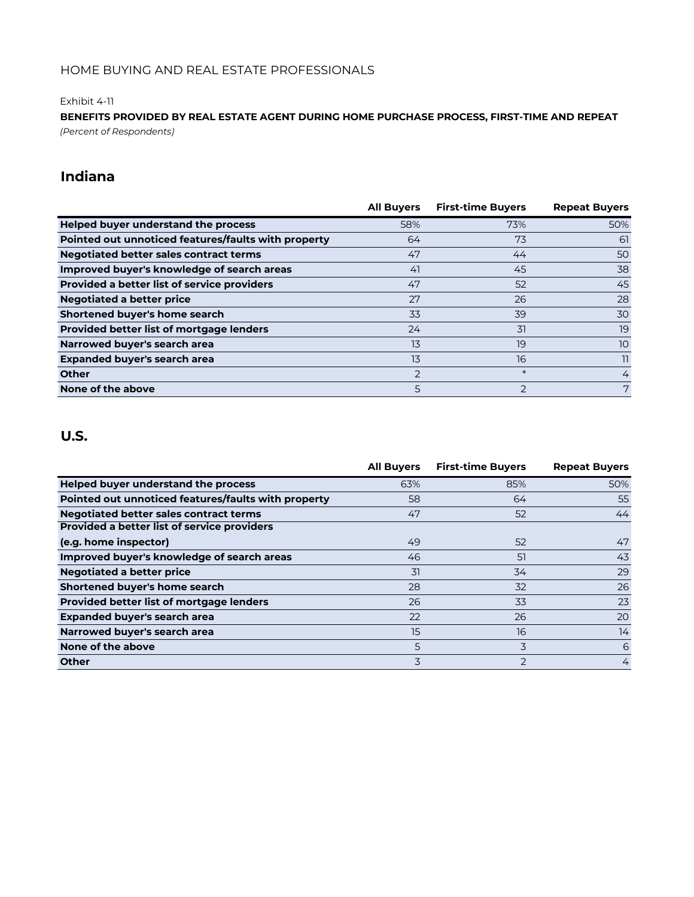#### Exhibit 4-11

*(Percent of Respondents)* **BENEFITS PROVIDED BY REAL ESTATE AGENT DURING HOME PURCHASE PROCESS, FIRST-TIME AND REPEAT** 

# **Indiana**

|                                                     | <b>All Buyers</b> | <b>First-time Buyers</b> | <b>Repeat Buyers</b> |
|-----------------------------------------------------|-------------------|--------------------------|----------------------|
| Helped buyer understand the process                 | 58%               | 73%                      | 50%                  |
| Pointed out unnoticed features/faults with property | 64                | 73                       | 61                   |
| <b>Negotiated better sales contract terms</b>       | 47                | 44                       | 50                   |
| Improved buyer's knowledge of search areas          | 41                | 45                       | 38                   |
| <b>Provided a better list of service providers</b>  | 47                | 52                       | 45                   |
| <b>Negotiated a better price</b>                    | 27                | 26                       | 28                   |
| Shortened buyer's home search                       | 33                | 39                       | 30                   |
| <b>Provided better list of mortgage lenders</b>     | 24                | 31                       | 19                   |
| Narrowed buyer's search area                        | 13                | 19                       | 10                   |
| Expanded buyer's search area                        | 13                | 16                       | $\overline{1}$       |
| <b>Other</b>                                        | 2                 | $\ast$                   | 4                    |
| None of the above                                   | 5                 | $\overline{2}$           | 7                    |

|                                                     | <b>All Buyers</b> | <b>First-time Buyers</b> | <b>Repeat Buyers</b> |
|-----------------------------------------------------|-------------------|--------------------------|----------------------|
| Helped buyer understand the process                 | 63%               | 85%                      | 50%                  |
| Pointed out unnoticed features/faults with property | 58                | 64                       | 55                   |
| <b>Negotiated better sales contract terms</b>       | 47                | 52                       | 44                   |
| <b>Provided a better list of service providers</b>  |                   |                          |                      |
| (e.g. home inspector)                               | 49                | 52                       | 47                   |
| Improved buyer's knowledge of search areas          | 46                | 51                       | 43                   |
| <b>Negotiated a better price</b>                    | 31                | 34                       | 29                   |
| Shortened buyer's home search                       | 28                | 32                       | 26                   |
| Provided better list of mortgage lenders            | 26                | 33                       | 23                   |
| <b>Expanded buyer's search area</b>                 | 22                | 26                       | 20                   |
| Narrowed buyer's search area                        | 15                | 16                       | 14                   |
| None of the above                                   | 5                 | 3                        | 6                    |
| <b>Other</b>                                        | 3                 | $\overline{2}$           | 4                    |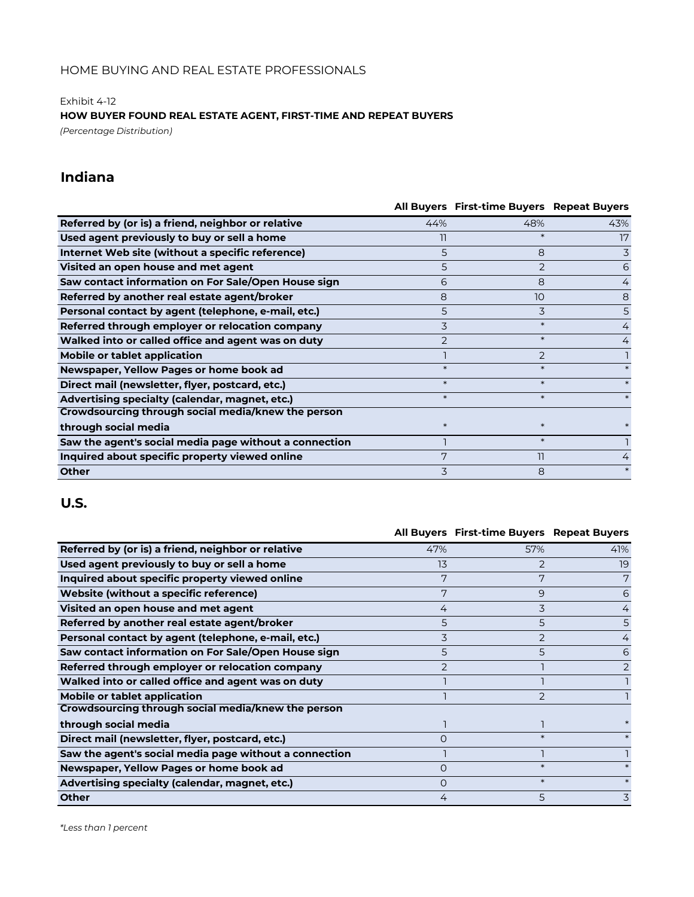Exhibit 4-12

**HOW BUYER FOUND REAL ESTATE AGENT, FIRST-TIME AND REPEAT BUYERS**

*(Percentage Distribution)*

# **Indiana**

|                                                        |                | All Buyers First-time Buyers Repeat Buyers |     |
|--------------------------------------------------------|----------------|--------------------------------------------|-----|
| Referred by (or is) a friend, neighbor or relative     | 44%            | 48%                                        | 43% |
| Used agent previously to buy or sell a home            | 11             | $\ast$                                     | 17  |
| Internet Web site (without a specific reference)       | 5              | 8                                          | 3   |
| Visited an open house and met agent                    | 5              | 2                                          | 6   |
| Saw contact information on For Sale/Open House sign    | 6              | 8                                          | 4   |
| Referred by another real estate agent/broker           | 8              | 10                                         | 8   |
| Personal contact by agent (telephone, e-mail, etc.)    | 5              | 3                                          | 5   |
| Referred through employer or relocation company        | 3              | $\ast$                                     | 4   |
| Walked into or called office and agent was on duty     | $\overline{2}$ | $\ast$                                     | 4   |
| Mobile or tablet application                           |                | $\mathcal{P}$                              |     |
| Newspaper, Yellow Pages or home book ad                | $\ast$         |                                            |     |
| Direct mail (newsletter, flyer, postcard, etc.)        | $\ast$         | $\ast$                                     |     |
| Advertising specialty (calendar, magnet, etc.)         | $\ast$         | $\ast$                                     |     |
| Crowdsourcing through social media/knew the person     |                |                                            |     |
| through social media                                   | $\ast$         |                                            |     |
| Saw the agent's social media page without a connection |                | $\ast$                                     |     |
| Inquired about specific property viewed online         | 7              | וו                                         |     |
| <b>Other</b>                                           | 3              | 8                                          |     |

|                                                        |          | All Buyers First-time Buyers Repeat Buyers |                |
|--------------------------------------------------------|----------|--------------------------------------------|----------------|
| Referred by (or is) a friend, neighbor or relative     | 47%      | 57%                                        | 41%            |
| Used agent previously to buy or sell a home            | 13       |                                            | 19             |
| Inquired about specific property viewed online         | 7        | 7                                          | 7              |
| Website (without a specific reference)                 | 7        | 9                                          | 6              |
| Visited an open house and met agent                    | 4        | 3                                          | $\overline{4}$ |
| Referred by another real estate agent/broker           | 5        | 5                                          | 5.             |
| Personal contact by agent (telephone, e-mail, etc.)    | 3        | $\overline{2}$                             | 4              |
| Saw contact information on For Sale/Open House sign    | 5        | 5                                          | 6              |
| Referred through employer or relocation company        | フ        |                                            | 2              |
| Walked into or called office and agent was on duty     |          |                                            |                |
| <b>Mobile or tablet application</b>                    |          |                                            |                |
| Crowdsourcing through social media/knew the person     |          |                                            |                |
| through social media                                   |          |                                            |                |
| Direct mail (newsletter, flyer, postcard, etc.)        | $\Omega$ | $\ast$                                     |                |
| Saw the agent's social media page without a connection |          |                                            |                |
| Newspaper, Yellow Pages or home book ad                | $\circ$  | $\ast$                                     |                |
| Advertising specialty (calendar, magnet, etc.)         | $\circ$  | $\ast$                                     |                |
| Other                                                  | 4        | 5                                          | 3              |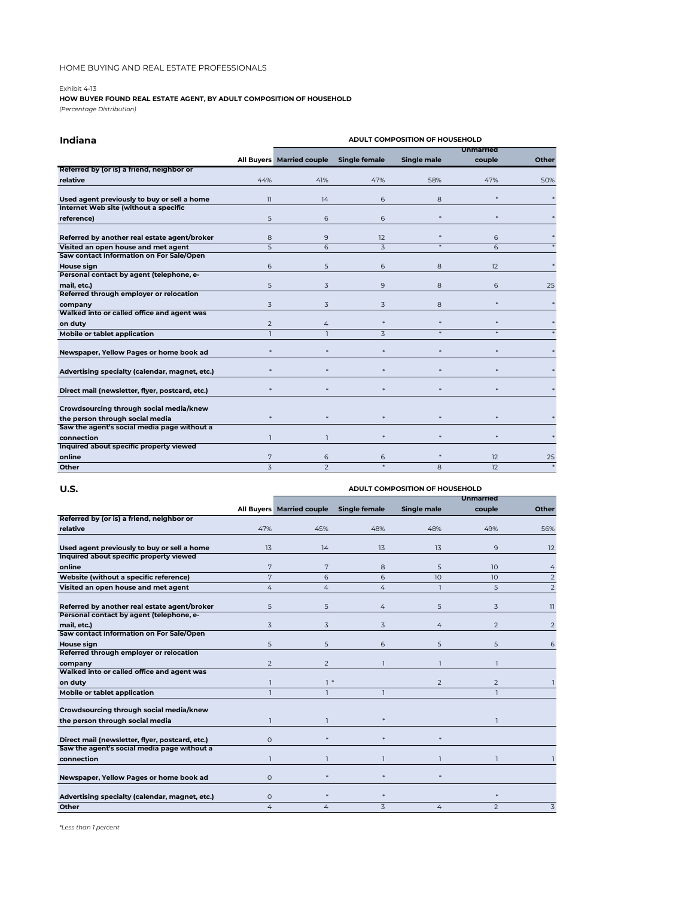#### Exhibit 4-13

### **HOW BUYER FOUND REAL ESTATE AGENT, BY ADULT COMPOSITION OF HOUSEHOLD**

*(Percentage Distribution)*

| Indiana                                         | ADULT COMPOSITION OF HOUSEHOLD |                           |                      |                    |                      |       |  |
|-------------------------------------------------|--------------------------------|---------------------------|----------------------|--------------------|----------------------|-------|--|
|                                                 |                                |                           |                      |                    | Unmarried            |       |  |
|                                                 |                                | All Buyers Married couple | <b>Single female</b> | <b>Single male</b> | couple               | Other |  |
| Referred by (or is) a friend, neighbor or       |                                |                           |                      |                    |                      |       |  |
| relative                                        | 44%                            | 41%                       | 47%                  | 58%                | 47%                  | 50%   |  |
| Used agent previously to buy or sell a home     | 11                             | 14                        | 6                    | 8                  | $\star$              |       |  |
| Internet Web site (without a specific           |                                |                           |                      |                    |                      |       |  |
| reference)                                      | 5                              | 6                         | 6                    |                    | ×.                   |       |  |
| Referred by another real estate agent/broker    | 8                              | 9                         | 12                   |                    | 6                    |       |  |
| Visited an open house and met agent             | 5                              | 6                         | 3                    |                    | 6                    |       |  |
| Saw contact information on For Sale/Open        |                                |                           |                      |                    |                      |       |  |
| House sign                                      | 6                              | 5                         | 6                    | 8                  | 12                   |       |  |
| Personal contact by agent (telephone, e-        |                                |                           |                      |                    |                      |       |  |
| mail, etc.)                                     | 5                              | 3                         | 9                    | 8                  | 6                    | 25    |  |
| Referred through employer or relocation         |                                |                           |                      |                    |                      |       |  |
| company                                         | 3                              | 3                         | 3                    | 8                  | ×.                   |       |  |
| Walked into or called office and agent was      |                                |                           |                      |                    |                      |       |  |
| on duty                                         | 2                              | $\overline{4}$            |                      |                    |                      |       |  |
| Mobile or tablet application                    | $\overline{1}$                 | $\overline{1}$            | $\overline{z}$       |                    |                      |       |  |
| Newspaper, Yellow Pages or home book ad         |                                | ×                         | ×                    | ×.                 | $\star$              |       |  |
| Advertising specialty (calendar, magnet, etc.)  |                                | ×                         |                      |                    | $\star$              |       |  |
| Direct mail (newsletter, flyer, postcard, etc.) |                                |                           |                      |                    | $\ddot{\phantom{1}}$ |       |  |
| Crowdsourcing through social media/knew         |                                |                           |                      |                    |                      |       |  |
| the person through social media                 |                                |                           |                      |                    |                      |       |  |
| Saw the agent's social media page without a     |                                |                           |                      |                    |                      |       |  |
| connection                                      |                                | ı                         |                      |                    | $\star$              |       |  |
| Inquired about specific property viewed         |                                |                           |                      |                    |                      |       |  |
| online                                          | 7                              | 6                         | 6                    | $\ast$             | 12 <sup>°</sup>      | 25    |  |
| Other                                           | $\overline{z}$                 | $\overline{\phantom{0}}$  |                      | 8                  | 12 <sup>2</sup>      |       |  |

| U.S.<br>ADULT COMPOSITION OF HOUSEHOLD          |                |                           |                      |                    |                 |                          |  |
|-------------------------------------------------|----------------|---------------------------|----------------------|--------------------|-----------------|--------------------------|--|
|                                                 |                | <b>Unmarried</b>          |                      |                    |                 |                          |  |
|                                                 |                | All Buyers Married couple | <b>Single female</b> | <b>Single male</b> | couple          | Other                    |  |
| Referred by (or is) a friend, neighbor or       |                |                           |                      |                    |                 |                          |  |
| relative                                        | 47%            | 45%                       | 48%                  | 48%                | 49%             | 56%                      |  |
| Used agent previously to buy or sell a home     | 13             | 14                        | 13                   | 13                 | 9               | 12                       |  |
| Inquired about specific property viewed         |                |                           |                      |                    |                 |                          |  |
| online                                          | 7              | 7                         | 8                    | 5                  | 10              | 4                        |  |
| Website (without a specific reference)          | 7              | 6                         | 6                    | 10 <sup>2</sup>    | 10 <sup>2</sup> | $\overline{2}$           |  |
| Visited an open house and met agent             | 4              | 4                         | $\overline{4}$       | 1                  | 5               | $\overline{2}$           |  |
| Referred by another real estate agent/broker    | 5              | 5                         | 4                    | 5                  | 3               | $\overline{\phantom{a}}$ |  |
| Personal contact by agent (telephone, e-        |                |                           |                      |                    |                 |                          |  |
| mail, etc.)                                     | 3              | 3                         | 3                    | 4                  | 2               | 2                        |  |
| Saw contact information on For Sale/Open        |                |                           |                      |                    |                 |                          |  |
| House sign                                      | 5              | 5                         | 6                    | 5                  | 5               | 6                        |  |
| Referred through employer or relocation         |                |                           |                      |                    |                 |                          |  |
| company                                         | $\overline{2}$ | $\overline{2}$            |                      |                    | ٦               |                          |  |
| Walked into or called office and agent was      |                |                           |                      |                    |                 |                          |  |
| on duty                                         | п              | $1*$                      |                      | $\mathcal{P}$      | 2               |                          |  |
| Mobile or tablet application                    | $\overline{1}$ |                           |                      |                    |                 |                          |  |
| Crowdsourcing through social media/knew         |                |                           |                      |                    |                 |                          |  |
| the person through social media                 | ı              |                           |                      |                    |                 |                          |  |
| Direct mail (newsletter, flyer, postcard, etc.) | $\circ$        | ×                         |                      |                    |                 |                          |  |
| Saw the agent's social media page without a     |                |                           |                      |                    |                 |                          |  |
| connection                                      | $\overline{1}$ | ı                         |                      |                    | ٦               |                          |  |
| Newspaper, Yellow Pages or home book ad         | $\Omega$       | ×                         |                      | $\star$            |                 |                          |  |
| Advertising specialty (calendar, magnet, etc.)  | $\circ$        | $\ast$                    | $\star$              |                    | $\ast$          |                          |  |
| Other                                           | 4              | 4                         | 3                    | 4                  | $\overline{2}$  | 3                        |  |
|                                                 |                |                           |                      |                    |                 |                          |  |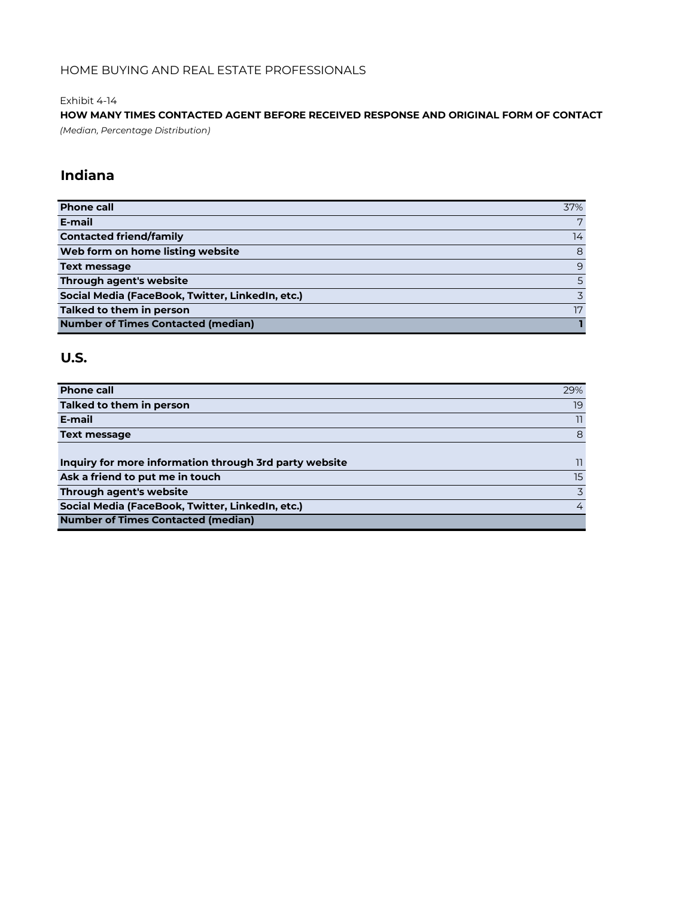Exhibit 4-14

**HOW MANY TIMES CONTACTED AGENT BEFORE RECEIVED RESPONSE AND ORIGINAL FORM OF CONTACT** *(Median, Percentage Distribution)*

# **Indiana**

| <b>Phone call</b>                                | 37%            |
|--------------------------------------------------|----------------|
| E-mail                                           | 7              |
| <b>Contacted friend/family</b>                   | 14             |
| Web form on home listing website                 | 8              |
| <b>Text message</b>                              | 9              |
| Through agent's website                          | $\overline{5}$ |
| Social Media (FaceBook, Twitter, LinkedIn, etc.) |                |
| Talked to them in person                         | 17             |
| <b>Number of Times Contacted (median)</b>        |                |

| <b>Phone call</b>                                      | 29% |
|--------------------------------------------------------|-----|
| Talked to them in person                               | 19  |
| E-mail                                                 | 11  |
| <b>Text message</b>                                    | 8   |
|                                                        |     |
| Inquiry for more information through 3rd party website | 11  |
| Ask a friend to put me in touch                        | 15  |
| Through agent's website                                | 3   |
| Social Media (FaceBook, Twitter, LinkedIn, etc.)       | 4   |
| <b>Number of Times Contacted (median)</b>              |     |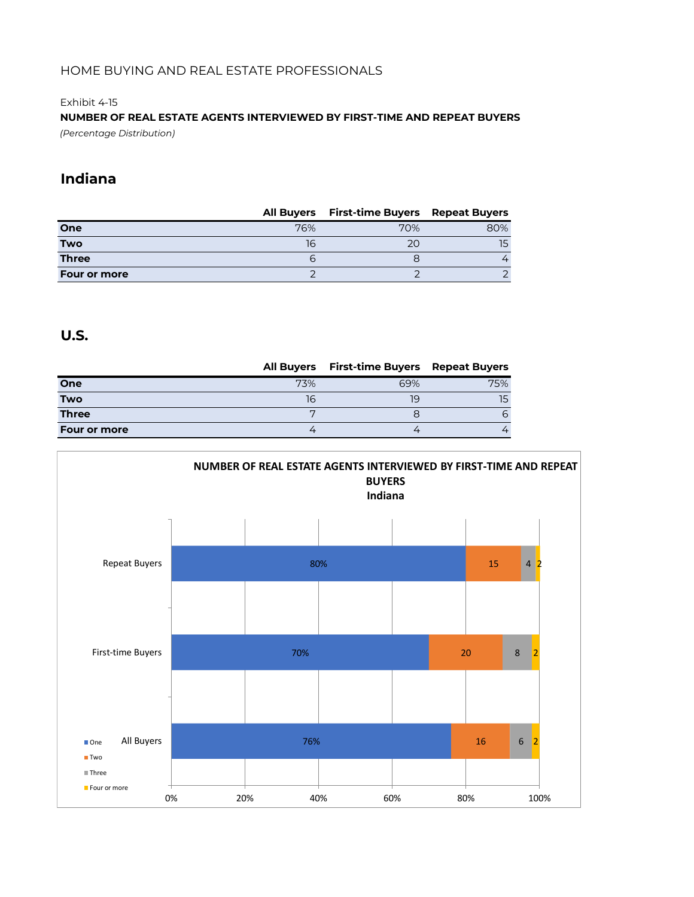#### Exhibit 4-15

**NUMBER OF REAL ESTATE AGENTS INTERVIEWED BY FIRST-TIME AND REPEAT BUYERS** *(Percentage Distribution)*

# **Indiana**

|                     | <b>All Buyers</b> | <b>First-time Buyers Repeat Buyers</b> |     |
|---------------------|-------------------|----------------------------------------|-----|
| One                 | 76%               | 70%                                    | 80% |
| <b>Two</b>          | 16                | 20                                     | 15  |
| <b>Three</b>        | ь                 |                                        |     |
| <b>Four or more</b> |                   |                                        |     |

|                     | <b>All Buyers</b> | <b>First-time Buyers</b> Repeat Buyers |          |
|---------------------|-------------------|----------------------------------------|----------|
| One                 | 73%               | 69%                                    | 75%      |
| <b>Two</b>          | 16                | 19                                     |          |
| <b>Three</b>        |                   |                                        | $\sigma$ |
| <b>Four or more</b> |                   |                                        |          |

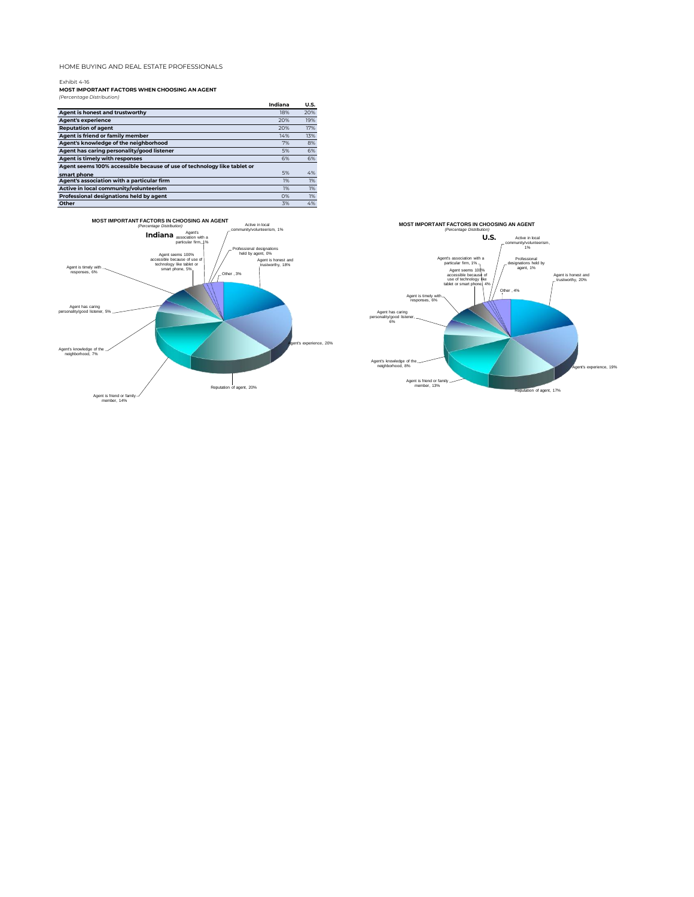Exhibit 4-16 **MOST IMPORTANT FACTORS WHEN CHOOSING AN AGENT** *(Percentage Distribution)*

|                                                                         | Indiana | <b>U.S.</b> |
|-------------------------------------------------------------------------|---------|-------------|
| Agent is honest and trustworthy                                         | 18%     | 20%         |
| <b>Agent's experience</b>                                               | 20%     | 19%         |
| <b>Reputation of agent</b>                                              | 20%     | 17%         |
| Agent is friend or family member                                        | 14%     | 13%         |
| Agent's knowledge of the neighborhood                                   | 7%      | 8%          |
| Agent has caring personality/good listener                              | 5%      | 6%          |
| Agent is timely with responses                                          | 6%      | 6%          |
| Agent seems 100% accessible because of use of technology like tablet or |         |             |
| smart phone                                                             | 5%      | 4%          |
| Agent's association with a particular firm                              | 1%      | 1%          |
| Active in local community/volunteerism                                  | 1%      | 1%          |
| Professional designations held by agent                                 | O%      | 1%          |
| Other                                                                   | 3%      | 4%          |



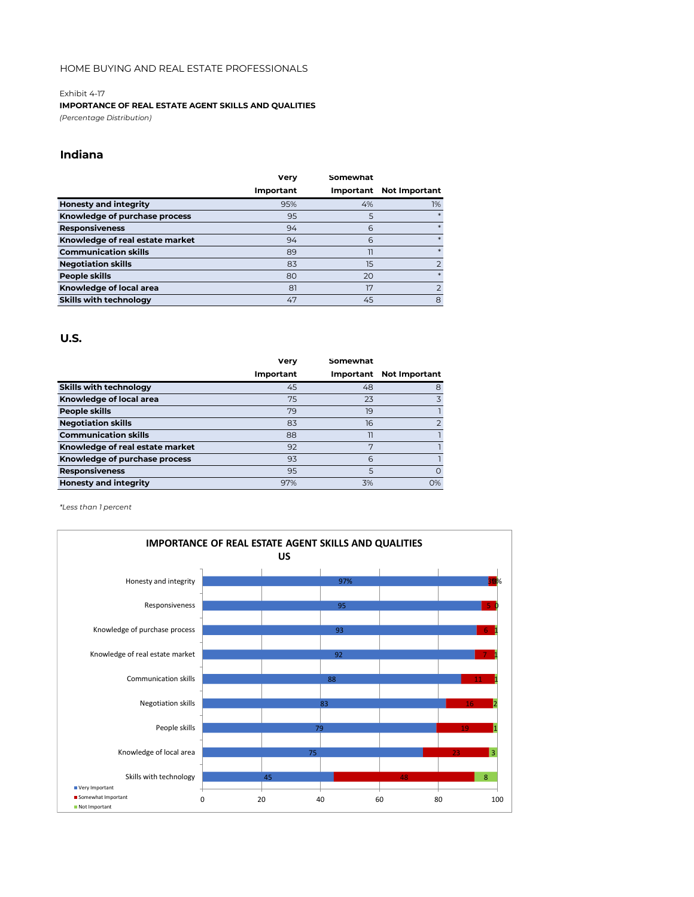#### Exhibit 4-17

#### **IMPORTANCE OF REAL ESTATE AGENT SKILLS AND QUALITIES**

*(Percentage Distribution)*

### **Indiana**

|                                 | Verv      | Somewhat  |                      |
|---------------------------------|-----------|-----------|----------------------|
|                                 | Important | Important | <b>Not Important</b> |
| <b>Honesty and integrity</b>    | 95%       | 4%        | 1%                   |
| Knowledge of purchase process   | 95        | 5         | $\ast$               |
| <b>Responsiveness</b>           | 94        | 6         | $\ast$               |
| Knowledge of real estate market | 94        | 6         | $\ast$               |
| <b>Communication skills</b>     | 89        | 11        | $\ast$               |
| <b>Negotiation skills</b>       | 83        | 15        | $\overline{2}$       |
| People skills                   | 80        | 20        | $\ast$               |
| Knowledge of local area         | 81        | 17        |                      |
| <b>Skills with technology</b>   | 47        | 45        | 8                    |

#### **U.S.**

|                                 | Verv      | Somewhat |                         |
|---------------------------------|-----------|----------|-------------------------|
|                                 | Important |          | Important Not Important |
| <b>Skills with technology</b>   | 45        | 48       | 8                       |
| Knowledge of local area         | 75        | 23       | 3                       |
| People skills                   | 79        | 19       |                         |
| <b>Negotiation skills</b>       | 83        | 16       | $\overline{2}$          |
| <b>Communication skills</b>     | 88        | 11       |                         |
| Knowledge of real estate market | 92        | 7        |                         |
| Knowledge of purchase process   | 93        | 6        |                         |
| <b>Responsiveness</b>           | 95        | 5        | $\Omega$                |
| <b>Honesty and integrity</b>    | 97%       | 3%       | 0%                      |

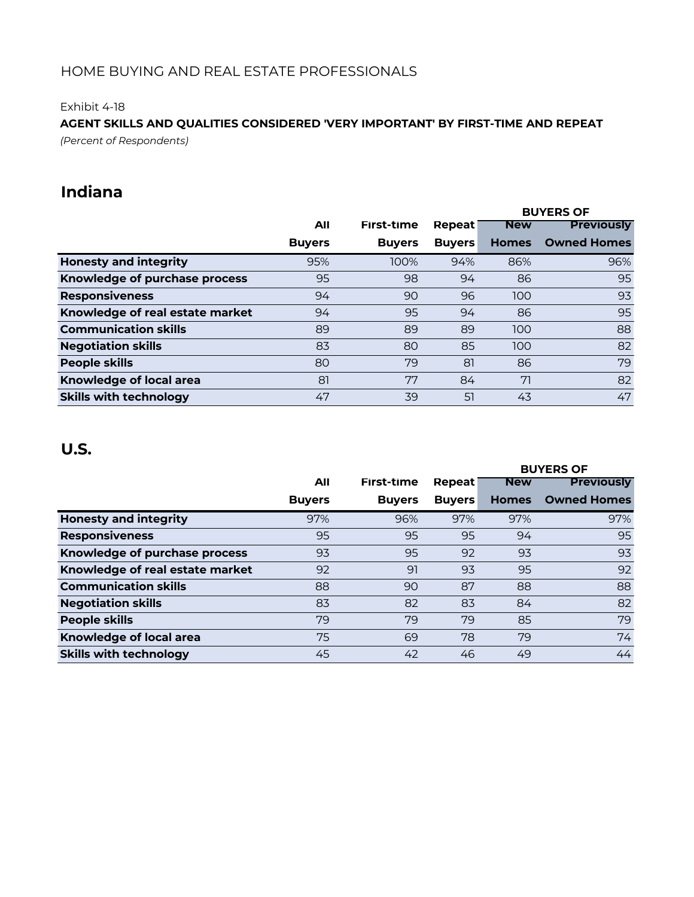Exhibit 4-18

## *(Percent of Respondents)* **AGENT SKILLS AND QUALITIES CONSIDERED 'VERY IMPORTANT' BY FIRST-TIME AND REPEAT**

# **Indiana**

|                                 |               |               |               |              | <b>BUYERS OF</b>   |
|---------------------------------|---------------|---------------|---------------|--------------|--------------------|
|                                 | All           | First-time    | Repeat        | <b>New</b>   | <b>Previously</b>  |
|                                 | <b>Buyers</b> | <b>Buyers</b> | <b>Buyers</b> | <b>Homes</b> | <b>Owned Homes</b> |
| <b>Honesty and integrity</b>    | 95%           | 100%          | 94%           | 86%          | 96%                |
| Knowledge of purchase process   | 95            | 98            | 94            | 86           | 95                 |
| <b>Responsiveness</b>           | 94            | 90            | 96            | 100          | 93                 |
| Knowledge of real estate market | 94            | 95            | 94            | 86           | 95                 |
| <b>Communication skills</b>     | 89            | 89            | 89            | 100          | 88                 |
| <b>Negotiation skills</b>       | 83            | 80            | 85            | 100          | 82                 |
| <b>People skills</b>            | 80            | 79            | 81            | 86           | 79                 |
| Knowledge of local area         | 81            | 77            | 84            | 71           | 82                 |
| <b>Skills with technology</b>   | 47            | 39            | 51            | 43           | 47                 |

|                                 |               |                   |               | <b>BUYERS OF</b> |                    |
|---------------------------------|---------------|-------------------|---------------|------------------|--------------------|
|                                 | All           | <b>First-time</b> | Repeat        | <b>New</b>       | <b>Previously</b>  |
|                                 | <b>Buyers</b> | <b>Buyers</b>     | <b>Buyers</b> | <b>Homes</b>     | <b>Owned Homes</b> |
| <b>Honesty and integrity</b>    | 97%           | 96%               | 97%           | 97%              | 97%                |
| <b>Responsiveness</b>           | 95            | 95                | 95            | 94               | 95                 |
| Knowledge of purchase process   | 93            | 95                | 92            | 93               | 93                 |
| Knowledge of real estate market | 92            | 91                | 93            | 95               | 92                 |
| <b>Communication skills</b>     | 88            | 90                | 87            | 88               | 88                 |
| <b>Negotiation skills</b>       | 83            | 82                | 83            | 84               | 82                 |
| <b>People skills</b>            | 79            | 79                | 79            | 85               | 79                 |
| Knowledge of local area         | 75            | 69                | 78            | 79               | 74                 |
| <b>Skills with technology</b>   | 45            | 42                | 46            | 49               | 44                 |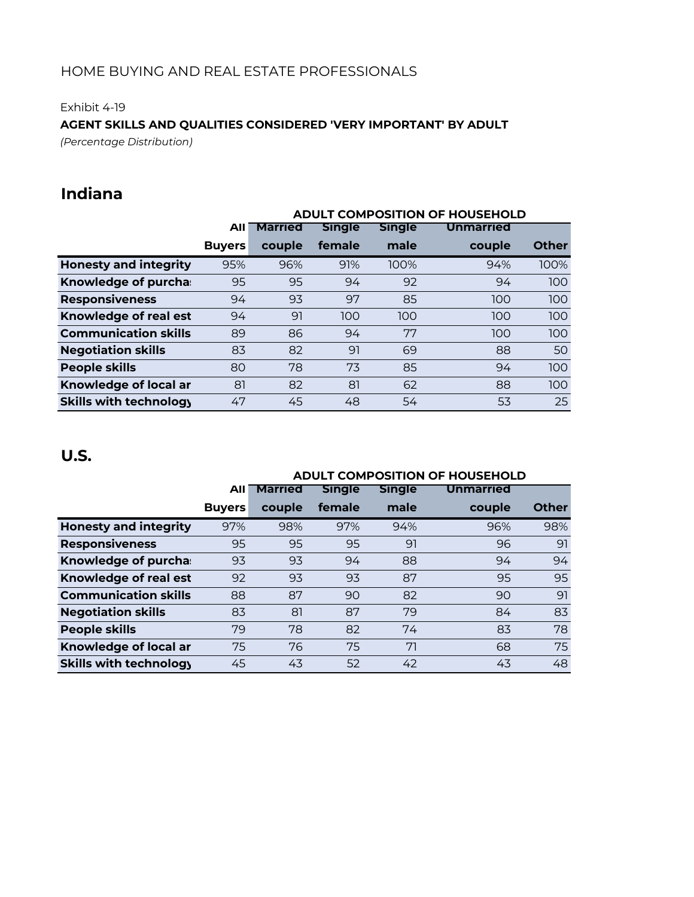Exhibit 4-19

### **AGENT SKILLS AND QUALITIES CONSIDERED 'VERY IMPORTANT' BY ADULT**

*(Percentage Distribution)*

# **Indiana**

|                               | <b>ADULT COMPOSITION OF HOUSEHOLD</b> |                |               |               |                  |              |
|-------------------------------|---------------------------------------|----------------|---------------|---------------|------------------|--------------|
|                               | All                                   | <b>Married</b> | <b>Single</b> | <b>Single</b> | <b>Unmarried</b> |              |
|                               | <b>Buyers</b>                         | couple         | female        | male          | couple           | <b>Other</b> |
| <b>Honesty and integrity</b>  | 95%                                   | 96%            | 91%           | 100%          | 94%              | 100%         |
| Knowledge of purcha:          | 95                                    | 95             | 94            | 92            | 94               | 100          |
| <b>Responsiveness</b>         | 94                                    | 93             | 97            | 85            | 100              | 100          |
| Knowledge of real est         | 94                                    | 91             | 100           | 100           | 100              | 100          |
| <b>Communication skills</b>   | 89                                    | 86             | 94            | 77            | 100              | 100          |
| <b>Negotiation skills</b>     | 83                                    | 82             | 91            | 69            | 88               | 50           |
| <b>People skills</b>          | 80                                    | 78             | 73            | 85            | 94               | 100          |
| Knowledge of local ar         | 81                                    | 82             | 81            | 62            | 88               | 100          |
| <b>Skills with technology</b> | 47                                    | 45             | 48            | 54            | 53               | 25           |

|                               | <b>ADULT COMPOSITION OF HOUSEHOLD</b> |                |               |               |           |              |
|-------------------------------|---------------------------------------|----------------|---------------|---------------|-----------|--------------|
|                               | AII                                   | <b>Married</b> | <b>Single</b> | <b>Single</b> | Unmarried |              |
|                               | <b>Buyers</b>                         | couple         | female        | male          | couple    | <b>Other</b> |
| <b>Honesty and integrity</b>  | 97%                                   | 98%            | 97%           | 94%           | 96%       | 98%          |
| <b>Responsiveness</b>         | 95                                    | 95             | 95            | 91            | 96        | 91           |
| Knowledge of purcha:          | 93                                    | 93             | 94            | 88            | 94        | 94           |
| Knowledge of real est         | 92                                    | 93             | 93            | 87            | 95        | 95           |
| <b>Communication skills</b>   | 88                                    | 87             | 90            | 82            | 90        | 91           |
| <b>Negotiation skills</b>     | 83                                    | 81             | 87            | 79            | 84        | 83           |
| <b>People skills</b>          | 79                                    | 78             | 82            | 74            | 83        | 78           |
| Knowledge of local ar         | 75                                    | 76             | 75            | 71            | 68        | 75           |
| <b>Skills with technology</b> | 45                                    | 43             | 52            | 42            | 43        | 48           |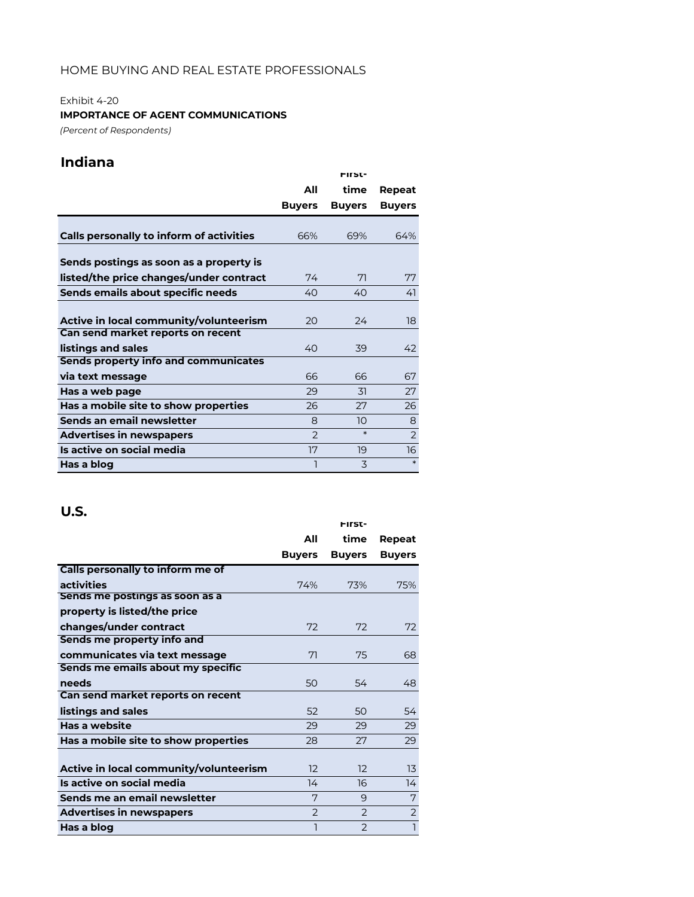# Exhibit 4-20

### **IMPORTANCE OF AGENT COMMUNICATIONS**

*(Percent of Respondents)*

# **Indiana**

|                                             |               | <b>FIFST-</b> |               |
|---------------------------------------------|---------------|---------------|---------------|
|                                             | All           | time          | Repeat        |
|                                             | <b>Buyers</b> | <b>Buyers</b> | <b>Buyers</b> |
|                                             |               |               |               |
| Calls personally to inform of activities    | 66%           | 69%           | 64%           |
| Sends postings as soon as a property is     |               |               |               |
| listed/the price changes/under contract     | 74            | 71            | 77            |
| Sends emails about specific needs           | 40            | 40            | 41            |
|                                             |               |               |               |
| Active in local community/volunteerism      | 20            | 24            | 18            |
| Can send market reports on recent           |               |               |               |
| listings and sales                          | 40            | 39            | 42            |
| <b>Sends property info and communicates</b> |               |               |               |
| via text message                            | 66            | 66            | 67            |
| Has a web page                              | 29            | 31            | 27            |
| Has a mobile site to show properties        | 26            | 27            | 26            |
| Sends an email newsletter                   | 8             | 10            | 8             |
| <b>Advertises in newspapers</b>             | $\mathcal{P}$ | $\ast$        | 2             |
| Is active on social media                   | 17            | 19            | 16            |
| Has a blog                                  |               | 3             | $\ast$        |

|                                        |                | <b>FIFST-</b> |                |
|----------------------------------------|----------------|---------------|----------------|
|                                        | All            | time          | Repeat         |
|                                        | <b>Buyers</b>  | <b>Buyers</b> | <b>Buyers</b>  |
| Calls personally to inform me of       |                |               |                |
| activities                             | 74%            | 73%           | 75%            |
| Sends me postings as soon as a         |                |               |                |
| property is listed/the price           |                |               |                |
| changes/under contract                 | 72             | 72            | 72             |
| Sends me property info and             |                |               |                |
| communicates via text message          | 71             | 75            | 68             |
| Sends me emails about my specific      |                |               |                |
| needs                                  | 50             | 54            | 48             |
| Can send market reports on recent      |                |               |                |
| listings and sales                     | 52             | 50            | 54             |
| Has a website                          | 29             | 29            | 29             |
| Has a mobile site to show properties   | 28             | 27            | 29             |
|                                        |                |               |                |
| Active in local community/volunteerism | 12             | 12            | 13             |
| Is active on social media              | 14             | 16            | 14             |
| Sends me an email newsletter           | 7              | 9             | 7              |
| <b>Advertises in newspapers</b>        | $\overline{2}$ | $\mathcal{P}$ | $\overline{2}$ |
| Has a blog                             |                | $\mathcal{P}$ | $\mathbf{I}$   |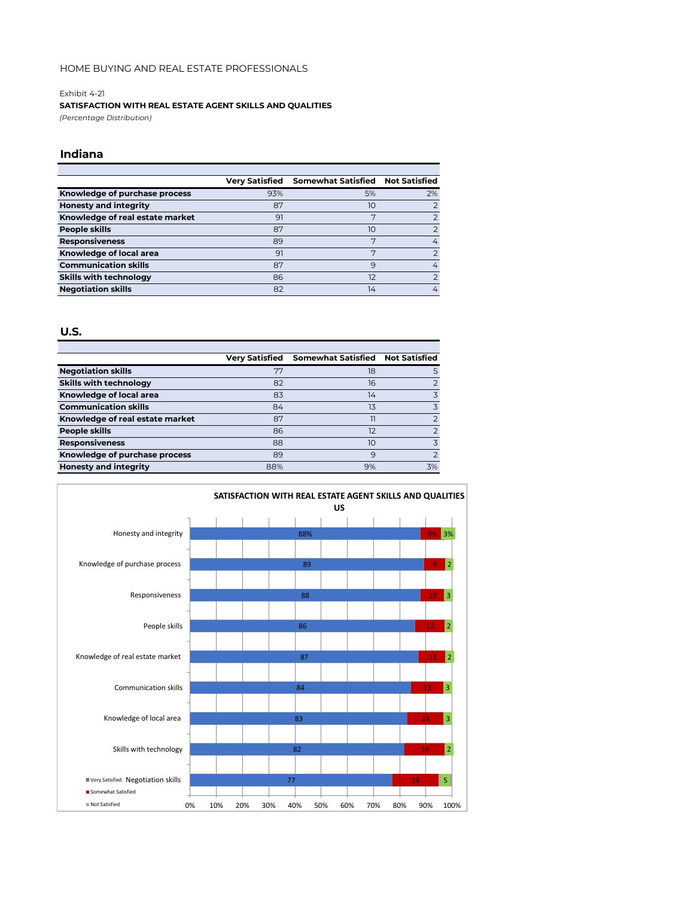#### Exhibit 4-21

#### **SATISFACTION WITH REAL ESTATE AGENT SKILLS AND QUALITIES**

*(Percentage Distribution)*

#### **Indiana**

|                                 | <b>Very Satisfied</b> | Somewhat Satisfied Not Satisfied |               |
|---------------------------------|-----------------------|----------------------------------|---------------|
| Knowledge of purchase process   | 93%                   | 5%                               | 2%            |
| <b>Honesty and integrity</b>    | 87                    | 10                               |               |
| Knowledge of real estate market | 91                    | 7                                |               |
| People skills                   | 87                    | 10                               |               |
| <b>Responsiveness</b>           | 89                    | 7                                | 4             |
| Knowledge of local area         | 91                    | 7                                | $\mathcal{P}$ |
| <b>Communication skills</b>     | 87                    | 9                                | 4             |
| <b>Skills with technology</b>   | 86                    | 12                               |               |
| <b>Negotiation skills</b>       | 82                    | 14                               | 4             |
|                                 |                       |                                  |               |

|                                 |     | Verv Satisfied Somewhat Satisfied Not Satisfied |                |
|---------------------------------|-----|-------------------------------------------------|----------------|
| <b>Negotiation skills</b>       | 77  | 18                                              | 5              |
| <b>Skills with technology</b>   | 82  | 16                                              | $\mathcal{P}$  |
| Knowledge of local area         | 83  | 14                                              | 3              |
| <b>Communication skills</b>     | 84  | 13                                              | 3              |
| Knowledge of real estate market | 87  |                                                 | $\overline{2}$ |
| People skills                   | 86  | 12                                              | $\overline{2}$ |
| <b>Responsiveness</b>           | 88  | 10                                              | 3              |
| Knowledge of purchase process   | 89  | 9                                               | $\overline{2}$ |
| <b>Honesty and integrity</b>    | 88% | 9%                                              | 3%             |

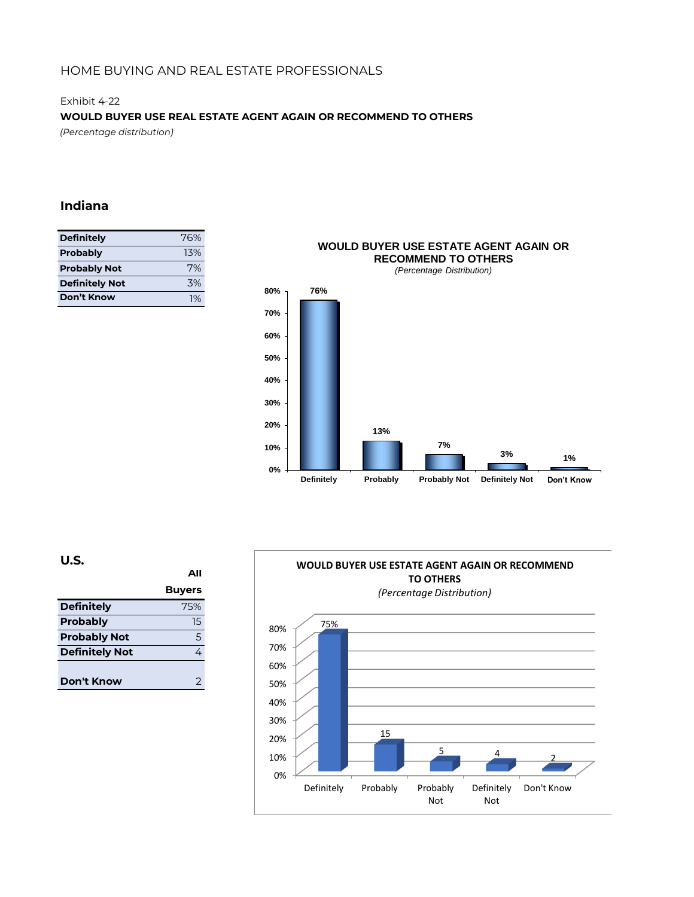### Exhibit 4-22 **WOULD BUYER USE REAL ESTATE AGENT AGAIN OR RECOMMEND TO OTHERS**

*(Percentage distribution)*

### **Indiana**

| <b>Definitely</b>     | 76% |
|-----------------------|-----|
| <b>Probably</b>       | 13% |
| <b>Probably Not</b>   | 7%  |
| <b>Definitely Not</b> | 3%  |
| Don't Know            | 1%  |



**U.S.**

|                       | ΔIΙ           |
|-----------------------|---------------|
|                       | <b>Buyers</b> |
| <b>Definitely</b>     | 75%           |
| <b>Probably</b>       | 15            |
| <b>Probably Not</b>   | 5             |
| <b>Definitely Not</b> | 4             |
|                       |               |
| Don't Know            | フ             |

### **WOULD BUYER USE ESTATE AGENT AGAIN OR RECOMMEND TO OTHERS**

*(Percentage Distribution)*